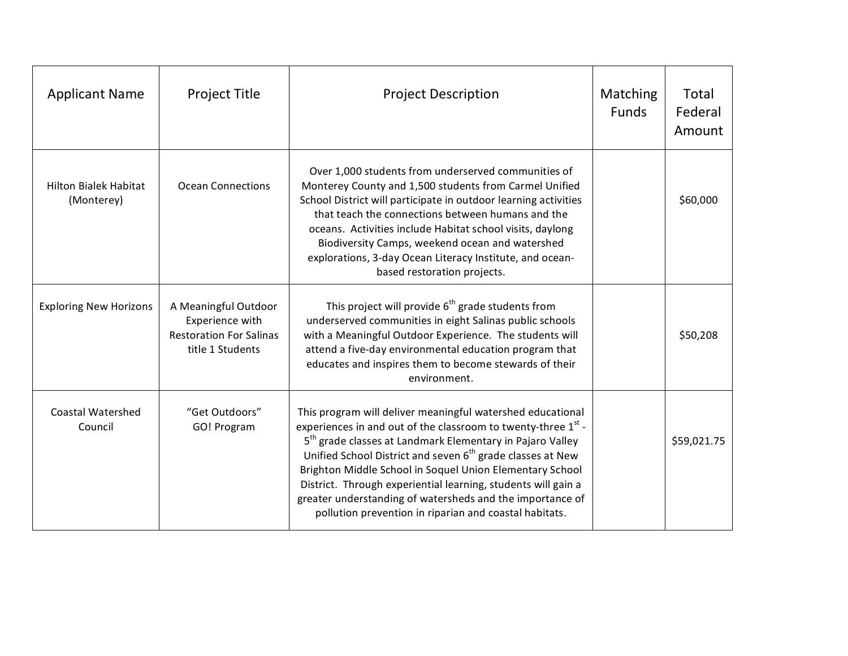| <b>Applicant Name</b>                      | <b>Project Title</b>                                                                          | <b>Project Description</b>                                                                                                                                                                                                                                                                                                                                                                                                                                                                                                                     | Matching<br><b>Funds</b> | Total<br>Federal<br>Amount |
|--------------------------------------------|-----------------------------------------------------------------------------------------------|------------------------------------------------------------------------------------------------------------------------------------------------------------------------------------------------------------------------------------------------------------------------------------------------------------------------------------------------------------------------------------------------------------------------------------------------------------------------------------------------------------------------------------------------|--------------------------|----------------------------|
| <b>Hilton Bialek Habitat</b><br>(Monterey) | <b>Ocean Connections</b>                                                                      | Over 1,000 students from underserved communities of<br>Monterey County and 1,500 students from Carmel Unified<br>School District will participate in outdoor learning activities<br>that teach the connections between humans and the<br>oceans. Activities include Habitat school visits, daylong<br>Biodiversity Camps, weekend ocean and watershed<br>explorations, 3-day Ocean Literacy Institute, and ocean-<br>based restoration projects.                                                                                               |                          | \$60,000                   |
| <b>Exploring New Horizons</b>              | A Meaningful Outdoor<br>Experience with<br><b>Restoration For Salinas</b><br>title 1 Students | This project will provide 6 <sup>th</sup> grade students from<br>underserved communities in eight Salinas public schools<br>with a Meaningful Outdoor Experience. The students will<br>attend a five-day environmental education program that<br>educates and inspires them to become stewards of their<br>environment.                                                                                                                                                                                                                        |                          | \$50,208                   |
| <b>Coastal Watershed</b><br>Council        | "Get Outdoors"<br>GO! Program                                                                 | This program will deliver meaningful watershed educational<br>experiences in and out of the classroom to twenty-three 1 <sup>st</sup> -<br>5 <sup>th</sup> grade classes at Landmark Elementary in Pajaro Valley<br>Unified School District and seven 6 <sup>th</sup> grade classes at New<br>Brighton Middle School in Soquel Union Elementary School<br>District. Through experiential learning, students will gain a<br>greater understanding of watersheds and the importance of<br>pollution prevention in riparian and coastal habitats. |                          | \$59,021.75                |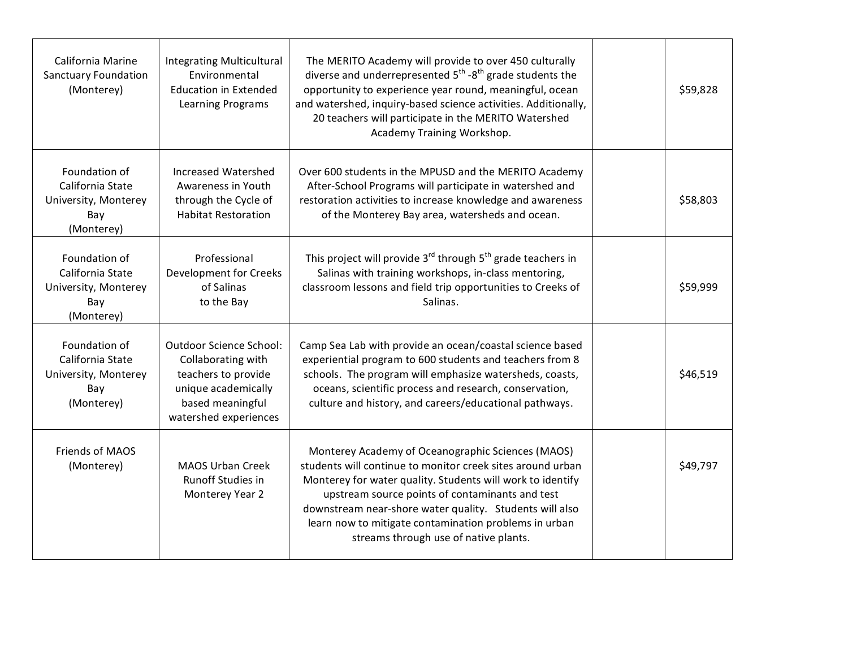| California Marine<br><b>Sanctuary Foundation</b><br>(Monterey)                 | <b>Integrating Multicultural</b><br>Environmental<br><b>Education in Extended</b><br><b>Learning Programs</b>                                   | The MERITO Academy will provide to over 450 culturally<br>diverse and underrepresented $5^{th}$ - $8^{th}$ grade students the<br>opportunity to experience year round, meaningful, ocean<br>and watershed, inquiry-based science activities. Additionally,<br>20 teachers will participate in the MERITO Watershed<br>Academy Training Workshop.                                              | \$59,828 |
|--------------------------------------------------------------------------------|-------------------------------------------------------------------------------------------------------------------------------------------------|-----------------------------------------------------------------------------------------------------------------------------------------------------------------------------------------------------------------------------------------------------------------------------------------------------------------------------------------------------------------------------------------------|----------|
| Foundation of<br>California State<br>University, Monterey<br>Bay<br>(Monterey) | Increased Watershed<br>Awareness in Youth<br>through the Cycle of<br><b>Habitat Restoration</b>                                                 | Over 600 students in the MPUSD and the MERITO Academy<br>After-School Programs will participate in watershed and<br>restoration activities to increase knowledge and awareness<br>of the Monterey Bay area, watersheds and ocean.                                                                                                                                                             | \$58,803 |
| Foundation of<br>California State<br>University, Monterey<br>Bay<br>(Monterey) | Professional<br>Development for Creeks<br>of Salinas<br>to the Bay                                                                              | This project will provide $3^{rd}$ through $5^{th}$ grade teachers in<br>Salinas with training workshops, in-class mentoring,<br>classroom lessons and field trip opportunities to Creeks of<br>Salinas.                                                                                                                                                                                      | \$59,999 |
| Foundation of<br>California State<br>University, Monterey<br>Bay<br>(Monterey) | <b>Outdoor Science School:</b><br>Collaborating with<br>teachers to provide<br>unique academically<br>based meaningful<br>watershed experiences | Camp Sea Lab with provide an ocean/coastal science based<br>experiential program to 600 students and teachers from 8<br>schools. The program will emphasize watersheds, coasts,<br>oceans, scientific process and research, conservation,<br>culture and history, and careers/educational pathways.                                                                                           | \$46,519 |
| Friends of MAOS<br>(Monterey)                                                  | <b>MAOS Urban Creek</b><br><b>Runoff Studies in</b><br>Monterey Year 2                                                                          | Monterey Academy of Oceanographic Sciences (MAOS)<br>students will continue to monitor creek sites around urban<br>Monterey for water quality. Students will work to identify<br>upstream source points of contaminants and test<br>downstream near-shore water quality. Students will also<br>learn now to mitigate contamination problems in urban<br>streams through use of native plants. | \$49,797 |